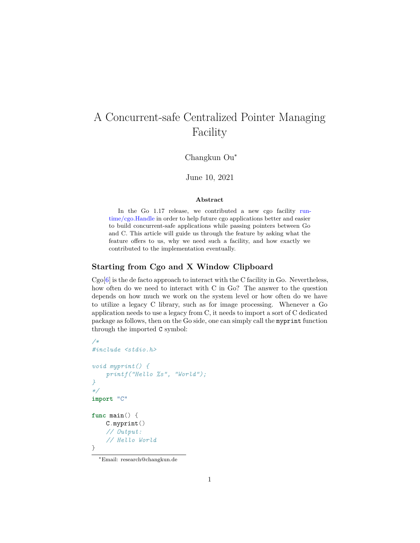# A Concurrent-safe Centralized Pointer Managing Facility

## Changkun Ou<sup>∗</sup>

### June 10, 2021

#### **Abstract**

In the Go 1.17 release, we contributed a new cgo facility [run](https://tip.golang.org/pkg/runtime/cgo/#Handle)[time/cgo.Handle](https://tip.golang.org/pkg/runtime/cgo/#Handle) in order to help future cgo applications better and easier to build concurrent-safe applications while passing pointers between Go and C. This article will guide us through the feature by asking what the feature offers to us, why we need such a facility, and how exactly we contributed to the implementation eventually.

## **Starting from Cgo and X Window Clipboard**

 $Cg0[6]$  $Cg0[6]$  is the de facto approach to interact with the C facility in Go. Nevertheless, how often do we need to interact with C in Go? The answer to the question depends on how much we work on the system level or how often do we have to utilize a legacy C library, such as for image processing. Whenever a Go application needs to use a legacy from C, it needs to import a sort of C dedicated package as follows, then on the Go side, one can simply call the myprint function through the imported C symbol:

```
/*
#include <stdio.h>
void myprint() {
    printf("Hello %s", "World");
}
*/
import "C"
func main() {
    C.myprint()
    // Output:
    // Hello World
}
```
<sup>∗</sup>Email: research@changkun.de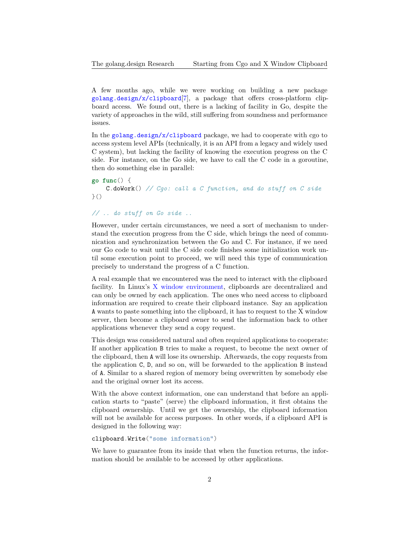A few months ago, while we were working on building a new package [golang.design/x/clipboard](https://golang.design/x/clipboard)[\[7](#page-13-1)], a package that offers cross-platform clipboard access. We found out, there is a lacking of facility in Go, despite the variety of approaches in the wild, still suffering from soundness and performance issues.

In the golang.design/ $x$ /clipboard package, we had to cooperate with cgo to access system level APIs (technically, it is an API from a legacy and widely used C system), but lacking the facility of knowing the execution progress on the C side. For instance, on the Go side, we have to call the C code in a goroutine, then do something else in parallel:

```
go func() {
    C.doWork() // Cgo: call a C function, and do stuff on C side
}()
```
## *// .. do stuff on Go side ..*

However, under certain circumstances, we need a sort of mechanism to understand the execution progress from the C side, which brings the need of communication and synchronization between the Go and C. For instance, if we need our Go code to wait until the C side code finishes some initialization work until some execution point to proceed, we will need this type of communication precisely to understand the progress of a C function.

A real example that we encountered was the need to interact with the clipboard facility. In Linux's [X window environment,](https://en.wikipedia.org/wiki/X_Window_System) clipboards are decentralized and can only be owned by each application. The ones who need access to clipboard information are required to create their clipboard instance. Say an application A wants to paste something into the clipboard, it has to request to the X window server, then become a clipboard owner to send the information back to other applications whenever they send a copy request.

This design was considered natural and often required applications to cooperate: If another application B tries to make a request, to become the next owner of the clipboard, then A will lose its ownership. Afterwards, the copy requests from the application C, D, and so on, will be forwarded to the application B instead of A. Similar to a shared region of memory being overwritten by somebody else and the original owner lost its access.

With the above context information, one can understand that before an application starts to "paste" (serve) the clipboard information, it first obtains the clipboard ownership. Until we get the ownership, the clipboard information will not be available for access purposes. In other words, if a clipboard API is designed in the following way:

clipboard.Write("some information")

We have to guarantee from its inside that when the function returns, the information should be available to be accessed by other applications.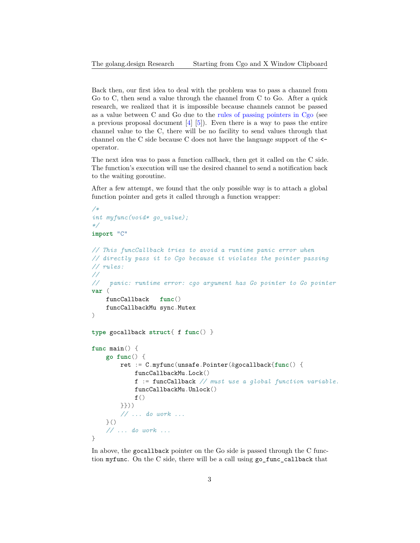Back then, our first idea to deal with the problem was to pass a channel from Go to C, then send a value through the channel from C to Go. After a quick research, we realized that it is impossible because channels cannot be passed as a value between C and Go due to the [rules of passing pointers in Cgo](https://pkg.go.dev/cmd/cgo#hdr-Passing_pointers) (see a previous proposal document  $\begin{bmatrix}4\\1\end{bmatrix}$ . Even there is a way to pass the entire channel value to the C, there will be no facility to send values through that channel on the C side because C does not have the language support of the < operator.

The next idea was to pass a function callback, then get it called on the C side. The function's execution will use the desired channel to send a notification back to the waiting goroutine.

After a few attempt, we found that the only possible way is to attach a global function pointer and gets it called through a function wrapper:

```
/*
int myfunc(void* go_value);
*/
import "C"
// This funcCallback tries to avoid a runtime panic error when
// directly pass it to Cgo because it violates the pointer passing
// rules:
//
// panic: runtime error: cgo argument has Go pointer to Go pointer
var (
   funcCallback func()
    funcCallbackMu sync.Mutex
\lambdatype gocallback struct{ f func() }
func main() {
   go func() {
        ret := C.myfunc(unsafe.Pointer(&gocallback{func() {
            funcCallbackMu.Lock()
            f := funcCallback // must use a global function variable.
            funcCallbackMu.Unlock()
            f()}}))
        // ... do work ...
    }()
    // ... do work ...
}
```
In above, the gocallback pointer on the Go side is passed through the C function myfunc. On the C side, there will be a call using go\_func\_callback that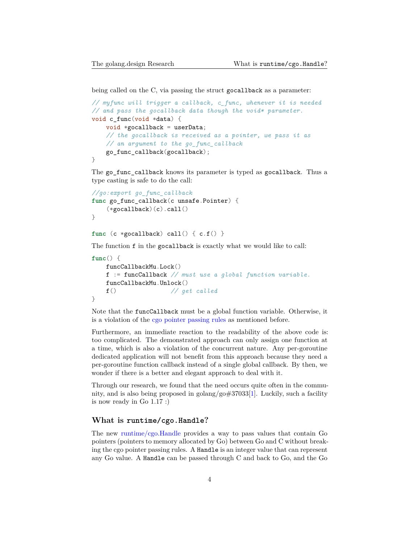being called on the C, via passing the struct gocallback as a parameter:

```
// myfunc will trigger a callback, c_func, whenever it is needed
// and pass the gocallback data though the void* parameter.
void c_func(void *data) {
    void *gocallback = userData;
   // the gocallback is received as a pointer, we pass it as
    // an argument to the go_func_callback
    go_func_callback(gocallback);
}
```
The go\_func\_callback knows its parameter is typed as gocallback. Thus a type casting is safe to do the call:

```
//go:export go_func_callback
func go func callback(c unsafe.Pointer) {
    (*\text{gocallback})(c).\text{call})}
```

```
func (c *gocallback) call() { c.f() }
```
The function f in the gocallback is exactly what we would like to call:

```
func() {
   funcCallbackMu.Lock()
   f := funcCallback // must use a global function variable.
   funcCallbackMu.Unlock()
   f() // get called
}
```
Note that the funcCallback must be a global function variable. Otherwise, it is a violation of the [cgo pointer passing rules](https://pkg.go.dev/cmd/cgo/#hdr-Passing_pointers) as mentioned before.

Furthermore, an immediate reaction to the readability of the above code is: too complicated. The demonstrated approach can only assign one function at a time, which is also a violation of the concurrent nature. Any per-goroutine dedicated application will not benefit from this approach because they need a per-goroutine function callback instead of a single global callback. By then, we wonder if there is a better and elegant approach to deal with it.

Through our research, we found that the need occurs quite often in the community, and is also being proposed in golang/go#37033[\[1](#page-13-4)]. Luckily, such a facility is now ready in Go 1.17 :)

## **What is runtime/cgo.Handle?**

The new [runtime/cgo.Handle](https://tip.golang.org/pkg/runtime/cgo/#Handle) provides a way to pass values that contain Go pointers (pointers to memory allocated by Go) between Go and C without breaking the cgo pointer passing rules. A Handle is an integer value that can represent any Go value. A Handle can be passed through C and back to Go, and the Go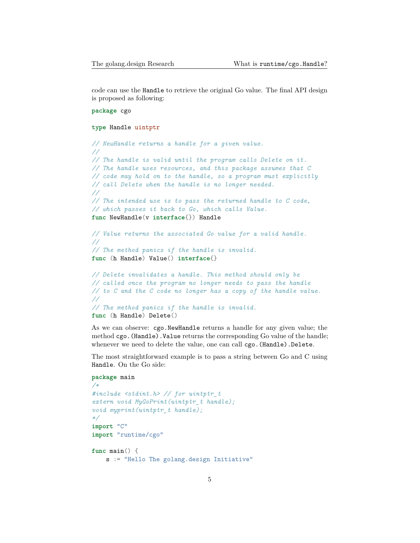code can use the Handle to retrieve the original Go value. The final API design is proposed as following:

**package** cgo

#### **type** Handle uintptr

```
// NewHandle returns a handle for a given value.
//
// The handle is valid until the program calls Delete on it.
// The handle uses resources, and this package assumes that C
// code may hold on to the handle, so a program must explicitly
// call Delete when the handle is no longer needed.
//
// The intended use is to pass the returned handle to C code,
// which passes it back to Go, which calls Value.
func NewHandle(v interface{}) Handle
// Value returns the associated Go value for a valid handle.
//
// The method panics if the handle is invalid.
func (h Handle) Value() interface{}
// Delete invalidates a handle. This method should only be
// called once the program no longer needs to pass the handle
// to C and the C code no longer has a copy of the handle value.
//
```

```
// The method panics if the handle is invalid.
func (h Handle) Delete()
```
As we can observe: cgo.NewHandle returns a handle for any given value; the method cgo.(Handle).Value returns the corresponding Go value of the handle; whenever we need to delete the value, one can call cgo.(Handle).Delete.

The most straightforward example is to pass a string between Go and C using Handle. On the Go side:

```
package main
/*
#include <stdint.h> // for uintptr_t
extern void MyGoPrint(uintptr_t handle);
void myprint(uintptr_t handle);
*/
import "C"
import "runtime/cgo"
func main() {
    s := "Hello The golang.design Initiative"
```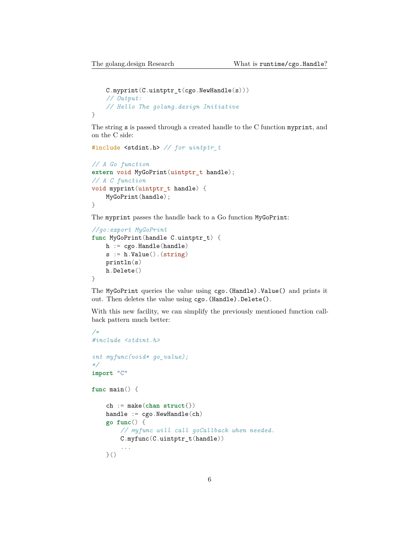}

```
C.myprint(C.uintptr_t(cgo.NewHandle(s)))
// Output:
// Hello The golang.design Initiative
```
The string s is passed through a created handle to the C function myprint, and on the C side:

```
#include <stdint.h> // for uintptr_t
// A Go function
extern void MyGoPrint(uintptr_t handle);
// A C function
void myprint(uintptr_t handle) {
   MyGoPrint(handle);
}
```
The myprint passes the handle back to a Go function MyGoPrint:

```
//go:export MyGoPrint
func MyGoPrint(handle C.uintptr_t) {
   h := cgo.Handle(handle)
   s := h.Value(). (string)println(s)
   h.Delete()
}
```
The MyGoPrint queries the value using cgo.(Handle).Value() and prints it out. Then deletes the value using cgo. (Handle). Delete().

With this new facility, we can simplify the previously mentioned function callback pattern much better:

```
/*
#include <stdint.h>
int myfunc(void* go_value);
*/
import "C"
func main() {
    ch := make(chan struct{})
    handle := cgo.NewHandle(ch)
    go func() {
        // myfunc will call goCallback when needed.
        C.myfunc(C.uintptr_t(handle))
        ...
    }()
```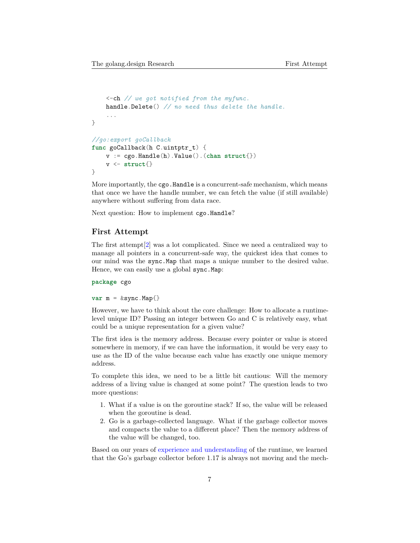```
<-ch // we got notified from the myfunc.
   handle.Delete() // no need thus delete the handle.
    ...
}
//go:export goCallback
func goCallback(h C.uintptr_t) {
    v := cgo.Handle(h).Value().(chan struct{})
   v <- struct{}
}
```
More importantly, the cgo.Handle is a concurrent-safe mechanism, which means that once we have the handle number, we can fetch the value (if still available) anywhere without suffering from data race.

Next question: How to implement cgo.Handle?

## **First Attempt**

The first attempt[\[2](#page-13-5)] was a lot complicated. Since we need a centralized way to manage all pointers in a concurrent-safe way, the quickest idea that comes to our mind was the sync.Map that maps a unique number to the desired value. Hence, we can easily use a global sync.Map:

**package** cgo

 $var$  m =  $&$ sync.Map $\{\}$ 

However, we have to think about the core challenge: How to allocate a runtimelevel unique ID? Passing an integer between Go and C is relatively easy, what could be a unique representation for a given value?

The first idea is the memory address. Because every pointer or value is stored somewhere in memory, if we can have the information, it would be very easy to use as the ID of the value because each value has exactly one unique memory address.

To complete this idea, we need to be a little bit cautious: Will the memory address of a living value is changed at some point? The question leads to two more questions:

- 1. What if a value is on the goroutine stack? If so, the value will be released when the goroutine is dead.
- 2. Go is a garbage-collected language. What if the garbage collector moves and compacts the value to a different place? Then the memory address of the value will be changed, too.

Based on our years of [experience and understanding](https://golang.design/s/more) of the runtime, we learned that the Go's garbage collector before 1.17 is always not moving and the mech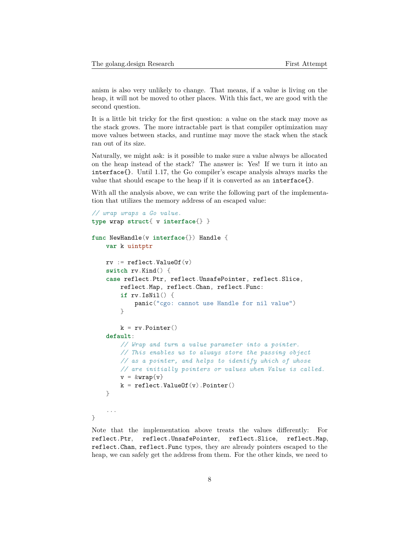anism is also very unlikely to change. That means, if a value is living on the heap, it will not be moved to other places. With this fact, we are good with the second question.

It is a little bit tricky for the first question: a value on the stack may move as the stack grows. The more intractable part is that compiler optimization may move values between stacks, and runtime may move the stack when the stack ran out of its size.

Naturally, we might ask: is it possible to make sure a value always be allocated on the heap instead of the stack? The answer is: Yes! If we turn it into an interface{}. Until 1.17, the Go compiler's escape analysis always marks the value that should escape to the heap if it is converted as an interface{}.

With all the analysis above, we can write the following part of the implementation that utilizes the memory address of an escaped value:

```
// wrap wraps a Go value.
type wrap struct{ v interface{} }
func NewHandle(v interface{}) Handle {
    var k uintptr
    rv := reflect.VallowOf(v)switch rv.Kind() {
    case reflect.Ptr, reflect.UnsafePointer, reflect.Slice,
        reflect.Map, reflect.Chan, reflect.Func:
        if rv.IsNil() {
            panic("cgo: cannot use Handle for nil value")
        }
        k = rv.Pointer()default:
        // Wrap and turn a value parameter into a pointer.
        // This enables us to always store the passing object
        // as a pointer, and helps to identify which of whose
        // are initially pointers or values when Value is called.
        v = \&\text{wrap}\{v\}k = reflect.VallowOf(v).Pointer()}
    ...
}
```
Note that the implementation above treats the values differently: For reflect.Ptr, reflect.UnsafePointer, reflect.Slice, reflect.Map, reflect.Chan, reflect.Func types, they are already pointers escaped to the heap, we can safely get the address from them. For the other kinds, we need to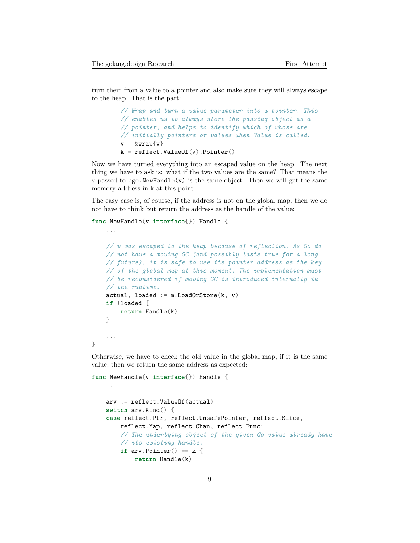turn them from a value to a pointer and also make sure they will always escape to the heap. That is the part:

```
// Wrap and turn a value parameter into a pointer. This
// enables us to always store the passing object as a
// pointer, and helps to identify which of whose are
// initially pointers or values when Value is called.
v = \&\text{wrap}\{v\}k = reflect. ValueOf(v). Pointer()
```
Now we have turned everything into an escaped value on the heap. The next thing we have to ask is: what if the two values are the same? That means the  $v$  passed to  $cgo.$  New Handle( $v$ ) is the same object. Then we will get the same memory address in k at this point.

The easy case is, of course, if the address is not on the global map, then we do not have to think but return the address as the handle of the value:

## **func** NewHandle(v **interface**{}) Handle {

...

}

```
// v was escaped to the heap because of reflection. As Go do
// not have a moving GC (and possibly lasts true for a long
// future), it is safe to use its pointer address as the key
// of the global map at this moment. The implementation must
// be reconsidered if moving GC is introduced internally in
// the runtime.
actual, loaded := m.LoadOrStore(k, v)if !loaded {
    return Handle(k)
}
...
```
Otherwise, we have to check the old value in the global map, if it is the same value, then we return the same address as expected:

```
func NewHandle(v interface{}) Handle {
    ...
    arv := reflect.ValueOf(actual)
    switch arv.Kind() {
    case reflect.Ptr, reflect.UnsafePointer, reflect.Slice,
        reflect.Map, reflect.Chan, reflect.Func:
        // The underlying object of the given Go value already have
        // its existing handle.
        if arv. Pointer() == k \in \{return Handle(k)
```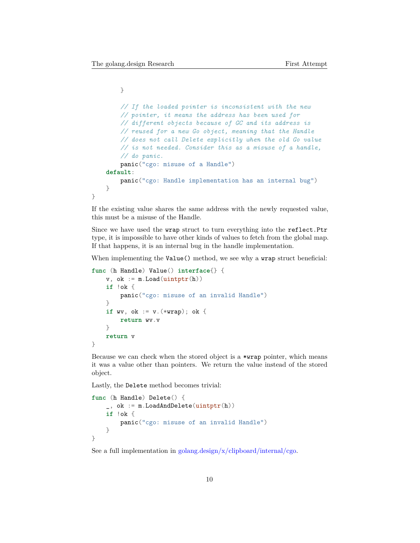}

```
}
    // If the loaded pointer is inconsistent with the new
    // pointer, it means the address has been used for
    // different objects because of GC and its address is
    // reused for a new Go object, meaning that the Handle
    // does not call Delete explicitly when the old Go value
    // is not needed. Consider this as a misuse of a handle,
    // do panic.
   panic("cgo: misuse of a Handle")
default:
    panic("cgo: Handle implementation has an internal bug")
}
```
If the existing value shares the same address with the newly requested value, this must be a misuse of the Handle.

Since we have used the wrap struct to turn everything into the reflect.Ptr type, it is impossible to have other kinds of values to fetch from the global map. If that happens, it is an internal bug in the handle implementation.

When implementing the Value() method, we see why a wrap struct beneficial:

```
func (h Handle) Value() interface{} {
    v, ok := m.Load(uintptr(h))if !ok {
        panic("cgo: misuse of an invalid Handle")
    }
    if wv, ok := v.(*wrap); ok {
        return wv.v
    }
    return v
}
```
Because we can check when the stored object is a \*wrap pointer, which means it was a value other than pointers. We return the value instead of the stored object.

Lastly, the Delete method becomes trivial:

```
func (h Handle) Delete() {
    \Box, ok := m.LoadAndDelete(uintptr(h))
    if !ok {
        panic("cgo: misuse of an invalid Handle")
    }
}
```
See a full implementation in [golang.design/x/clipboard/internal/cgo.](https://github.com/golang-design/clipboard/blob/main/internal/cgo/handle.go)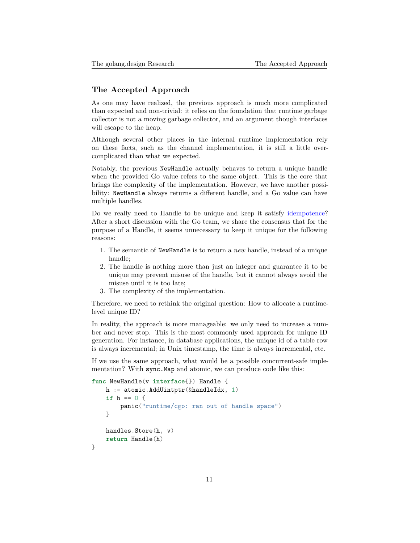## **The Accepted Approach**

As one may have realized, the previous approach is much more complicated than expected and non-trivial: it relies on the foundation that runtime garbage collector is not a moving garbage collector, and an argument though interfaces will escape to the heap.

Although several other places in the internal runtime implementation rely on these facts, such as the channel implementation, it is still a little overcomplicated than what we expected.

Notably, the previous NewHandle actually behaves to return a unique handle when the provided Go value refers to the same object. This is the core that brings the complexity of the implementation. However, we have another possibility: NewHandle always returns a different handle, and a Go value can have multiple handles.

Do we really need to Handle to be unique and keep it satisfy [idempotence?](https://en.wikipedia.org/wiki/Idempotence) After a short discussion with the Go team, we share the consensus that for the purpose of a Handle, it seems unnecessary to keep it unique for the following reasons:

- 1. The semantic of NewHandle is to return a *new* handle, instead of a unique handle;
- 2. The handle is nothing more than just an integer and guarantee it to be unique may prevent misuse of the handle, but it cannot always avoid the misuse until it is too late;
- 3. The complexity of the implementation.

Therefore, we need to rethink the original question: How to allocate a runtimelevel unique ID?

In reality, the approach is more manageable: we only need to increase a number and never stop. This is the most commonly used approach for unique ID generation. For instance, in database applications, the unique id of a table row is always incremental; in Unix timestamp, the time is always incremental, etc.

If we use the same approach, what would be a possible concurrent-safe implementation? With sync. Map and atomic, we can produce code like this:

```
func NewHandle(v interface{}) Handle {
    h := atomic.AddUintptr(\&handleIdx, 1)
    if h == 0 {
        panic("runtime/cgo: ran out of handle space")
    }
    handles.Store(h, v)
    return Handle(h)
}
```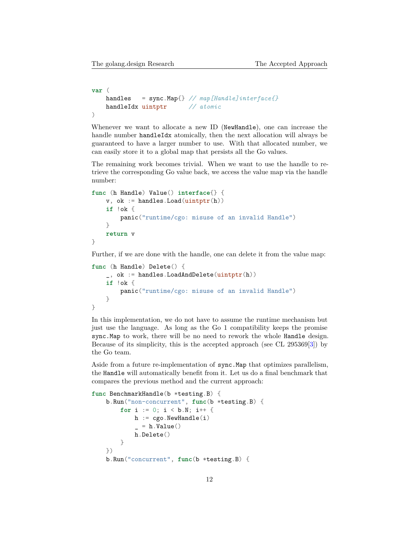```
var (
   handles = sync.Map{} // map[Handle]interface{}
   handleIdx uintptr // atomic
)
```
Whenever we want to allocate a new ID (NewHandle), one can increase the handle number handleIdx atomically, then the next allocation will always be guaranteed to have a larger number to use. With that allocated number, we can easily store it to a global map that persists all the Go values.

The remaining work becomes trivial. When we want to use the handle to retrieve the corresponding Go value back, we access the value map via the handle number:

```
func (h Handle) Value() interface{} {
    v, ok := handles. Load(uintptr(h))
    if !ok {
        panic("runtime/cgo: misuse of an invalid Handle")
    }
    return v
}
```
Further, if we are done with the handle, one can delete it from the value map:

```
func (h Handle) Delete() {
    _, ok := handles.LoadAndDelete(uintptr(h))
   if !ok {
        panic("runtime/cgo: misuse of an invalid Handle")
    }
}
```
In this implementation, we do not have to assume the runtime mechanism but just use the language. As long as the Go 1 compatibility keeps the promise sync.Map to work, there will be no need to rework the whole Handle design. Because of its simplicity, this is the accepted approach (see CL 295369[[3\]](#page-13-6)) by the Go team.

Aside from a future re-implementation of sync.Map that optimizes parallelism, the Handle will automatically benefit from it. Let us do a final benchmark that compares the previous method and the current approach:

```
func BenchmarkHandle(b *testing.B) {
    b.Run("non-concurrent", func(b *testing.B) {
        for i := 0; i < b.N; i++ {
            h := cgo. New Handle(i)_ = h.Value()
            h.Delete()
        }
    })
    b.Run("concurrent", func(b *testing.B) {
```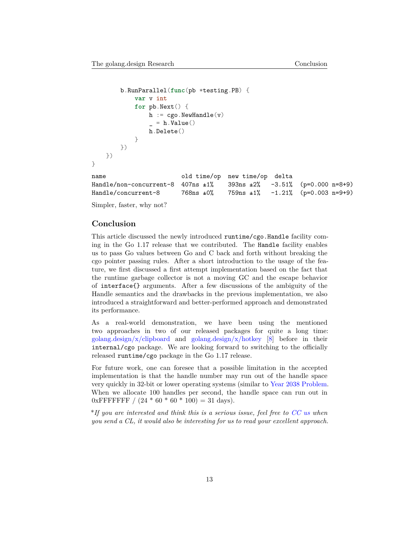```
b.RunParallel(func(pb *testing.PB) {
          var v int
          for pb.Next() {
              h := cgo. NewHandle(v)= h.Vallow()h.Delete()
          }
       })
   })
}
name old time/op new time/op delta
Handle/non-concurrent-8 407ns ±1% 393ns ±2% -3.51% (p=0.000 n=8+9)
Handle/concurrent-8 768ns ±0% 759ns ±1% -1.21% (p=0.003 n=9+9)
```
Simpler, faster, why not?

## **Conclusion**

This article discussed the newly introduced runtime/cgo.Handle facility coming in the Go 1.17 release that we contributed. The Handle facility enables us to pass Go values between Go and C back and forth without breaking the cgo pointer passing rules. After a short introduction to the usage of the feature, we first discussed a first attempt implementation based on the fact that the runtime garbage collector is not a moving GC and the escape behavior of interface{} arguments. After a few discussions of the ambiguity of the Handle semantics and the drawbacks in the previous implementation, we also introduced a straightforward and better-performed approach and demonstrated its performance.

As a real-world demonstration, we have been using the mentioned two approaches in two of our released packages for quite a long time: [golang.design/x/clipboard](https://github.com/golang-design/clipboard) and [golang.design/x/hotkey](https://github.com/golang-design/hotkey) [[8\]](#page-13-7) before in their internal/cgo package. We are looking forward to switching to the officially released runtime/cgo package in the Go 1.17 release.

For future work, one can foresee that a possible limitation in the accepted implementation is that the handle number may run out of the handle space very quickly in 32-bit or lower operating systems (similar to [Year 2038 Problem.](https://en.wikipedia.org/wiki/Year_2038_problem) When we allocate 100 handles per second, the handle space can run out in  $0x$ FFFFFFFF /  $(24 * 60 * 60 * 100) = 31$  days).

\**If you are interested and think this is a serious issue, feel free to [CC us](mailto:hi%5Bat%5Dgolang.design) when you send a CL, it would also be interesting for us to read your excellent approach.*